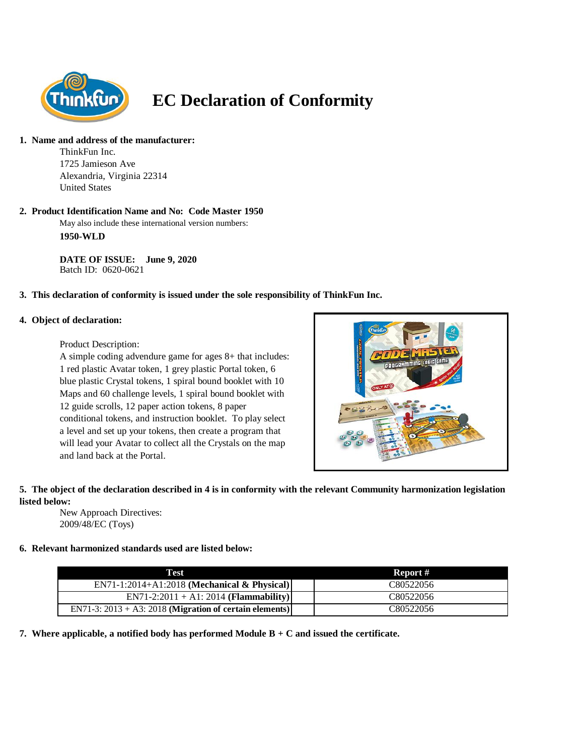

# **EC Declaration of Conformity**

# **1. Name and address of the manufacturer:**

ThinkFun Inc. 1725 Jamieson Ave Alexandria, Virginia 22314 United States

# **2. Product Identification Name and No: Code Master 1950**

May also include these international version numbers: **1950-WLD**

**DATE OF ISSUE: June 9, 2020** Batch ID: 0620-0621

# **3. This declaration of conformity is issued under the sole responsibility of ThinkFun Inc.**

#### **4. Object of declaration:**

#### Product Description:

A simple coding advendure game for ages 8+ that includes: 1 red plastic Avatar token, 1 grey plastic Portal token, 6 blue plastic Crystal tokens, 1 spiral bound booklet with 10 Maps and 60 challenge levels, 1 spiral bound booklet with 12 guide scrolls, 12 paper action tokens, 8 paper conditional tokens, and instruction booklet. To play select a level and set up your tokens, then create a program that will lead your Avatar to collect all the Crystals on the map and land back at the Portal.



# **5. The object of the declaration described in 4 is in conformity with the relevant Community harmonization legislation listed below:**

New Approach Directives: 2009/48/EC (Toys)

# **6. Relevant harmonized standards used are listed below:**

| Test                                                       | Report #  |
|------------------------------------------------------------|-----------|
| $EN71-1:2014+A1:2018$ (Mechanical & Physical)              | C80522056 |
| $EN71-2:2011 + A1:2014 (Flammaibility)$                    | C80522056 |
| EN71-3: $2013 + A3$ : 2018 (Migration of certain elements) | C80522056 |

**7. Where applicable, a notified body has performed Module B + C and issued the certificate.**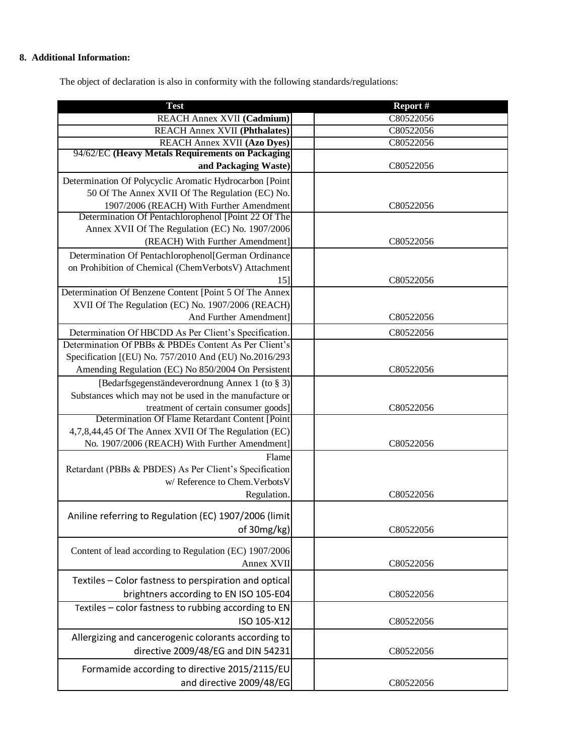# **8. Additional Information:**

The object of declaration is also in conformity with the following standards/regulations:

| <b>Test</b>                                             | Report #  |
|---------------------------------------------------------|-----------|
| REACH Annex XVII (Cadmium)                              | C80522056 |
| <b>REACH Annex XVII (Phthalates)</b>                    | C80522056 |
| <b>REACH Annex XVII (Azo Dyes)</b>                      | C80522056 |
| 94/62/EC (Heavy Metals Requirements on Packaging        |           |
| and Packaging Waste)                                    | C80522056 |
| Determination Of Polycyclic Aromatic Hydrocarbon [Point |           |
| 50 Of The Annex XVII Of The Regulation (EC) No.         |           |
| 1907/2006 (REACH) With Further Amendment                | C80522056 |
| Determination Of Pentachlorophenol [Point 22 Of The     |           |
| Annex XVII Of The Regulation (EC) No. 1907/2006         |           |
| (REACH) With Further Amendment]                         | C80522056 |
| Determination Of Pentachlorophenol[German Ordinance     |           |
| on Prohibition of Chemical (ChemVerbotsV) Attachment    |           |
| 15]                                                     | C80522056 |
| Determination Of Benzene Content [Point 5 Of The Annex  |           |
| XVII Of The Regulation (EC) No. 1907/2006 (REACH)       |           |
| And Further Amendment]                                  | C80522056 |
| Determination Of HBCDD As Per Client's Specification.   | C80522056 |
| Determination Of PBBs & PBDEs Content As Per Client's   |           |
| Specification [(EU) No. 757/2010 And (EU) No.2016/293   |           |
| Amending Regulation (EC) No 850/2004 On Persistent      | C80522056 |
| [Bedarfsgegenständeverordnung Annex 1 (to § 3)]         |           |
| Substances which may not be used in the manufacture or  |           |
| treatment of certain consumer goods]                    | C80522056 |
| Determination Of Flame Retardant Content [Point         |           |
| 4,7,8,44,45 Of The Annex XVII Of The Regulation (EC)    |           |
| No. 1907/2006 (REACH) With Further Amendment]           | C80522056 |
| Flame                                                   |           |
| Retardant (PBBs & PBDES) As Per Client's Specification  |           |
| w/ Reference to Chem. Verbots V                         |           |
| Regulation.                                             | C80522056 |
|                                                         |           |
| Aniline referring to Regulation (EC) 1907/2006 (limit)  |           |
| of 30mg/kg)                                             | C80522056 |
|                                                         |           |
| Content of lead according to Regulation (EC) 1907/2006  |           |
| Annex XVII                                              | C80522056 |
| Textiles - Color fastness to perspiration and optical   |           |
| brightners according to EN ISO 105-E04                  | C80522056 |
| Textiles - color fastness to rubbing according to EN    |           |
| ISO 105-X12                                             | C80522056 |
| Allergizing and cancerogenic colorants according to     |           |
| directive 2009/48/EG and DIN 54231                      | C80522056 |
|                                                         |           |
| Formamide according to directive 2015/2115/EU           |           |
| and directive 2009/48/EG                                | C80522056 |